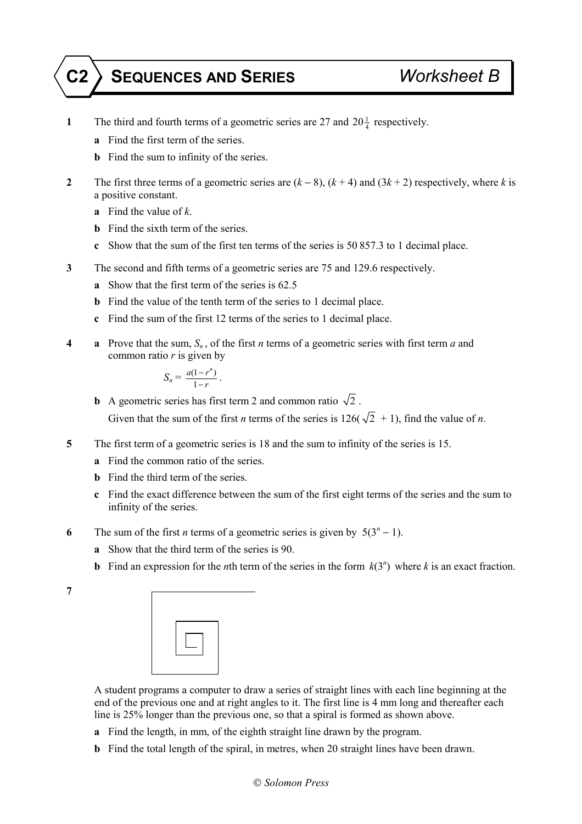## **C2 SEQUENCES AND SERIES** *Worksheet B*

- **1** The third and fourth terms of a geometric series are 27 and  $20\frac{1}{4}$  respectively.
	- **a** Find the first term of the series.
	- **b** Find the sum to infinity of the series.
- **2** The first three terms of a geometric series are (*k* − 8), (*k* + 4) and (3*k* + 2) respectively, where *k* is a positive constant.
	- **a** Find the value of *k*.
	- **b** Find the sixth term of the series.
	- **c** Show that the sum of the first ten terms of the series is 50 857.3 to 1 decimal place.
- **3** The second and fifth terms of a geometric series are 75 and 129.6 respectively.
	- **a** Show that the first term of the series is 62.5
	- **b** Find the value of the tenth term of the series to 1 decimal place.
	- **c** Find the sum of the first 12 terms of the series to 1 decimal place.
- **4 a** Prove that the sum,  $S_n$ , of the first *n* terms of a geometric series with first term *a* and common ratio *r* is given by

$$
S_n = \frac{a(1 - r^n)}{1 - r}.
$$

**b** A geometric series has first term 2 and common ratio  $\sqrt{2}$ . Given that the sum of the first *n* terms of the series is  $126(\sqrt{2} + 1)$ , find the value of *n*.

- **5** The first term of a geometric series is 18 and the sum to infinity of the series is 15.
	- **a** Find the common ratio of the series.
	- **b** Find the third term of the series.
	- **c** Find the exact difference between the sum of the first eight terms of the series and the sum to infinity of the series.
- **6** The sum of the first *n* terms of a geometric series is given by  $5(3^n 1)$ .
	- **a** Show that the third term of the series is 90.
	- **b** Find an expression for the *n*th term of the series in the form  $k(3^n)$  where *k* is an exact fraction.
- **7**

 A student programs a computer to draw a series of straight lines with each line beginning at the end of the previous one and at right angles to it. The first line is 4 mm long and thereafter each line is 25% longer than the previous one, so that a spiral is formed as shown above.

- **a** Find the length, in mm, of the eighth straight line drawn by the program.
- **b** Find the total length of the spiral, in metres, when 20 straight lines have been drawn.